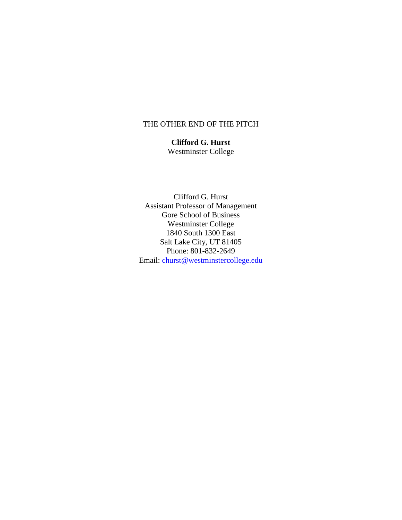## THE OTHER END OF THE PITCH

**Clifford G. Hurst** Westminster College

Clifford G. Hurst Assistant Professor of Management Gore School of Business Westminster College 1840 South 1300 East Salt Lake City, UT 81405 Phone: 801-832-2649 Email: [churst@westminstercollege.edu](mailto:churst@westminstercollege.edu)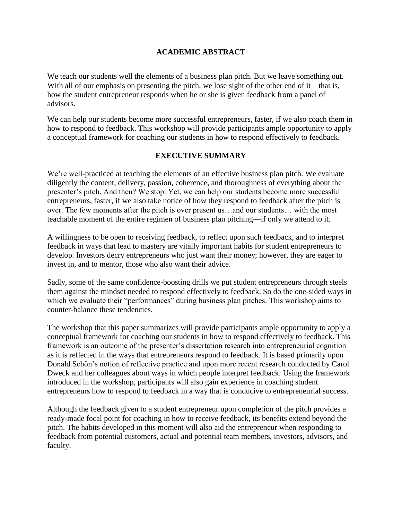# **ACADEMIC ABSTRACT**

We teach our students well the elements of a business plan pitch. But we leave something out. With all of our emphasis on presenting the pitch, we lose sight of the other end of it—that is, how the student entrepreneur responds when he or she is given feedback from a panel of advisors.

We can help our students become more successful entrepreneurs, faster, if we also coach them in how to respond to feedback. This workshop will provide participants ample opportunity to apply a conceptual framework for coaching our students in how to respond effectively to feedback.

## **EXECUTIVE SUMMARY**

We're well-practiced at teaching the elements of an effective business plan pitch. We evaluate diligently the content, delivery, passion, coherence, and thoroughness of everything about the presenter's pitch. And then? We stop. Yet, we can help our students become more successful entrepreneurs, faster, if we also take notice of how they respond to feedback after the pitch is over. The few moments after the pitch is over present us…and our students… with the most teachable moment of the entire regimen of business plan pitching—if only we attend to it.

A willingness to be open to receiving feedback, to reflect upon such feedback, and to interpret feedback in ways that lead to mastery are vitally important habits for student entrepreneurs to develop. Investors decry entrepreneurs who just want their money; however, they are eager to invest in, and to mentor, those who also want their advice.

Sadly, some of the same confidence-boosting drills we put student entrepreneurs through steels them against the mindset needed to respond effectively to feedback. So do the one-sided ways in which we evaluate their "performances" during business plan pitches. This workshop aims to counter-balance these tendencies.

The workshop that this paper summarizes will provide participants ample opportunity to apply a conceptual framework for coaching our students in how to respond effectively to feedback. This framework is an outcome of the presenter's dissertation research into entrepreneurial cognition as it is reflected in the ways that entrepreneurs respond to feedback. It is based primarily upon Donald Schön's notion of reflective practice and upon more recent research conducted by Carol Dweck and her colleagues about ways in which people interpret feedback. Using the framework introduced in the workshop, participants will also gain experience in coaching student entrepreneurs how to respond to feedback in a way that is conducive to entrepreneurial success.

Although the feedback given to a student entrepreneur upon completion of the pitch provides a ready-made focal point for coaching in how to receive feedback, its benefits extend beyond the pitch. The habits developed in this moment will also aid the entrepreneur when responding to feedback from potential customers, actual and potential team members, investors, advisors, and faculty.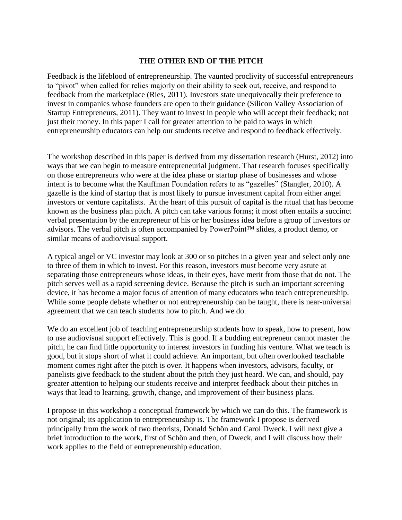### **THE OTHER END OF THE PITCH**

Feedback is the lifeblood of entrepreneurship. The vaunted proclivity of successful entrepreneurs to "pivot" when called for relies majorly on their ability to seek out, receive, and respond to feedback from the marketplace (Ries, 2011). Investors state unequivocally their preference to invest in companies whose founders are open to their guidance (Silicon Valley Association of Startup Entrepreneurs, 2011). They want to invest in people who will accept their feedback; not just their money. In this paper I call for greater attention to be paid to ways in which entrepreneurship educators can help our students receive and respond to feedback effectively.

The workshop described in this paper is derived from my dissertation research (Hurst, 2012) into ways that we can begin to measure entrepreneurial judgment. That research focuses specifically on those entrepreneurs who were at the idea phase or startup phase of businesses and whose intent is to become what the Kauffman Foundation refers to as "gazelles" (Stangler, 2010). A gazelle is the kind of startup that is most likely to pursue investment capital from either angel investors or venture capitalists. At the heart of this pursuit of capital is the ritual that has become known as the business plan pitch. A pitch can take various forms; it most often entails a succinct verbal presentation by the entrepreneur of his or her business idea before a group of investors or advisors. The verbal pitch is often accompanied by PowerPoint™ slides, a product demo, or similar means of audio/visual support.

A typical angel or VC investor may look at 300 or so pitches in a given year and select only one to three of them in which to invest. For this reason, investors must become very astute at separating those entrepreneurs whose ideas, in their eyes, have merit from those that do not. The pitch serves well as a rapid screening device. Because the pitch is such an important screening device, it has become a major focus of attention of many educators who teach entrepreneurship. While some people debate whether or not entrepreneurship can be taught, there is near-universal agreement that we can teach students how to pitch. And we do.

We do an excellent job of teaching entrepreneurship students how to speak, how to present, how to use audiovisual support effectively. This is good. If a budding entrepreneur cannot master the pitch, he can find little opportunity to interest investors in funding his venture. What we teach is good, but it stops short of what it could achieve. An important, but often overlooked teachable moment comes right after the pitch is over. It happens when investors, advisors, faculty, or panelists give feedback to the student about the pitch they just heard. We can, and should, pay greater attention to helping our students receive and interpret feedback about their pitches in ways that lead to learning, growth, change, and improvement of their business plans.

I propose in this workshop a conceptual framework by which we can do this. The framework is not original; its application to entrepreneurship is. The framework I propose is derived principally from the work of two theorists, Donald Schön and Carol Dweck. I will next give a brief introduction to the work, first of Schön and then, of Dweck, and I will discuss how their work applies to the field of entrepreneurship education.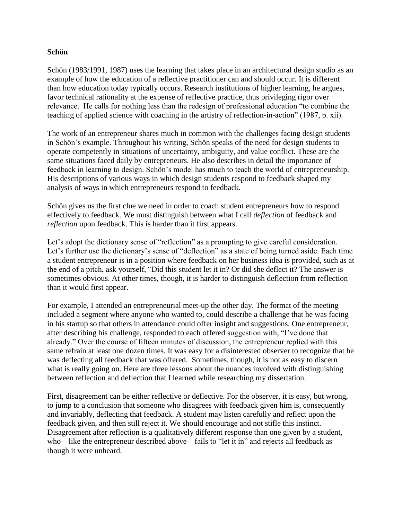## **Schön**

Schön (1983/1991, 1987) uses the learning that takes place in an architectural design studio as an example of how the education of a reflective practitioner can and should occur. It is different than how education today typically occurs. Research institutions of higher learning, he argues, favor technical rationality at the expense of reflective practice, thus privileging rigor over relevance. He calls for nothing less than the redesign of professional education "to combine the teaching of applied science with coaching in the artistry of reflection-in-action" (1987, p. xii).

The work of an entrepreneur shares much in common with the challenges facing design students in Schön's example. Throughout his writing, Schön speaks of the need for design students to operate competently in situations of uncertainty, ambiguity, and value conflict. These are the same situations faced daily by entrepreneurs. He also describes in detail the importance of feedback in learning to design. Schön's model has much to teach the world of entrepreneurship. His descriptions of various ways in which design students respond to feedback shaped my analysis of ways in which entrepreneurs respond to feedback.

Schön gives us the first clue we need in order to coach student entrepreneurs how to respond effectively to feedback. We must distinguish between what I call *deflection* of feedback and *reflection* upon feedback. This is harder than it first appears.

Let's adopt the dictionary sense of "reflection" as a prompting to give careful consideration. Let's further use the dictionary's sense of "deflection" as a state of being turned aside. Each time a student entrepreneur is in a position where feedback on her business idea is provided, such as at the end of a pitch, ask yourself, "Did this student let it in? Or did she deflect it? The answer is sometimes obvious. At other times, though, it is harder to distinguish deflection from reflection than it would first appear.

For example, I attended an entrepreneurial meet-up the other day. The format of the meeting included a segment where anyone who wanted to, could describe a challenge that he was facing in his startup so that others in attendance could offer insight and suggestions. One entrepreneur, after describing his challenge, responded to each offered suggestion with, "I've done that already." Over the course of fifteen minutes of discussion, the entrepreneur replied with this same refrain at least one dozen times. It was easy for a disinterested observer to recognize that he was deflecting all feedback that was offered. Sometimes, though, it is not as easy to discern what is really going on. Here are three lessons about the nuances involved with distinguishing between reflection and deflection that I learned while researching my dissertation.

First, disagreement can be either reflective or deflective. For the observer, it is easy, but wrong, to jump to a conclusion that someone who disagrees with feedback given him is, consequently and invariably, deflecting that feedback. A student may listen carefully and reflect upon the feedback given, and then still reject it. We should encourage and not stifle this instinct. Disagreement after reflection is a qualitatively different response than one given by a student, who—like the entrepreneur described above—fails to "let it in" and rejects all feedback as though it were unheard.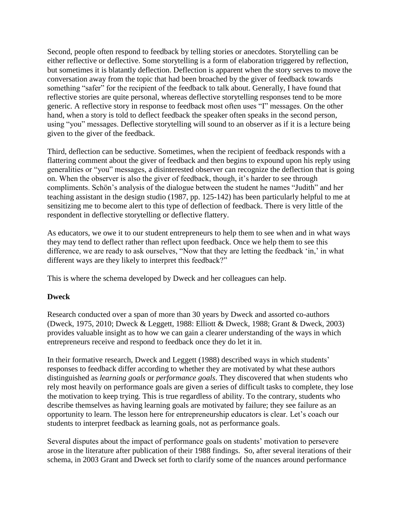Second, people often respond to feedback by telling stories or anecdotes. Storytelling can be either reflective or deflective. Some storytelling is a form of elaboration triggered by reflection, but sometimes it is blatantly deflection. Deflection is apparent when the story serves to move the conversation away from the topic that had been broached by the giver of feedback towards something "safer" for the recipient of the feedback to talk about. Generally, I have found that reflective stories are quite personal, whereas deflective storytelling responses tend to be more generic. A reflective story in response to feedback most often uses "I" messages. On the other hand, when a story is told to deflect feedback the speaker often speaks in the second person, using "you" messages. Deflective storytelling will sound to an observer as if it is a lecture being given to the giver of the feedback.

Third, deflection can be seductive. Sometimes, when the recipient of feedback responds with a flattering comment about the giver of feedback and then begins to expound upon his reply using generalities or "you" messages, a disinterested observer can recognize the deflection that is going on. When the observer is also the giver of feedback, though, it's harder to see through compliments. Schön's analysis of the dialogue between the student he names "Judith" and her teaching assistant in the design studio (1987, pp. 125-142) has been particularly helpful to me at sensitizing me to become alert to this type of deflection of feedback. There is very little of the respondent in deflective storytelling or deflective flattery.

As educators, we owe it to our student entrepreneurs to help them to see when and in what ways they may tend to deflect rather than reflect upon feedback. Once we help them to see this difference, we are ready to ask ourselves, "Now that they are letting the feedback 'in,' in what different ways are they likely to interpret this feedback?"

This is where the schema developed by Dweck and her colleagues can help.

# **Dweck**

Research conducted over a span of more than 30 years by Dweck and assorted co-authors (Dweck, 1975, 2010; Dweck & Leggett, 1988: Elliott & Dweck, 1988; Grant & Dweck, 2003) provides valuable insight as to how we can gain a clearer understanding of the ways in which entrepreneurs receive and respond to feedback once they do let it in.

In their formative research, Dweck and Leggett (1988) described ways in which students' responses to feedback differ according to whether they are motivated by what these authors distinguished as *learning goals* or *performance goals*. They discovered that when students who rely most heavily on performance goals are given a series of difficult tasks to complete, they lose the motivation to keep trying. This is true regardless of ability. To the contrary, students who describe themselves as having learning goals are motivated by failure; they see failure as an opportunity to learn. The lesson here for entrepreneurship educators is clear. Let's coach our students to interpret feedback as learning goals, not as performance goals.

Several disputes about the impact of performance goals on students' motivation to persevere arose in the literature after publication of their 1988 findings. So, after several iterations of their schema, in 2003 Grant and Dweck set forth to clarify some of the nuances around performance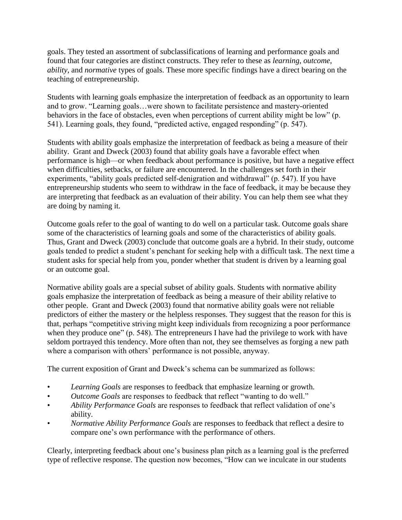goals. They tested an assortment of subclassifications of learning and performance goals and found that four categories are distinct constructs. They refer to these as *learning*, *outcome*, *ability*, and *normative* types of goals. These more specific findings have a direct bearing on the teaching of entrepreneurship.

Students with learning goals emphasize the interpretation of feedback as an opportunity to learn and to grow. "Learning goals…were shown to facilitate persistence and mastery-oriented behaviors in the face of obstacles, even when perceptions of current ability might be low" (p. 541). Learning goals, they found, "predicted active, engaged responding" (p. 547).

Students with ability goals emphasize the interpretation of feedback as being a measure of their ability. Grant and Dweck (2003) found that ability goals have a favorable effect when performance is high—or when feedback about performance is positive, but have a negative effect when difficulties, setbacks, or failure are encountered. In the challenges set forth in their experiments, "ability goals predicted self-denigration and withdrawal" (p. 547). If you have entrepreneurship students who seem to withdraw in the face of feedback, it may be because they are interpreting that feedback as an evaluation of their ability. You can help them see what they are doing by naming it.

Outcome goals refer to the goal of wanting to do well on a particular task. Outcome goals share some of the characteristics of learning goals and some of the characteristics of ability goals. Thus, Grant and Dweck (2003) conclude that outcome goals are a hybrid. In their study, outcome goals tended to predict a student's penchant for seeking help with a difficult task. The next time a student asks for special help from you, ponder whether that student is driven by a learning goal or an outcome goal.

Normative ability goals are a special subset of ability goals. Students with normative ability goals emphasize the interpretation of feedback as being a measure of their ability relative to other people. Grant and Dweck (2003) found that normative ability goals were not reliable predictors of either the mastery or the helpless responses. They suggest that the reason for this is that, perhaps "competitive striving might keep individuals from recognizing a poor performance when they produce one" (p. 548). The entrepreneurs I have had the privilege to work with have seldom portrayed this tendency. More often than not, they see themselves as forging a new path where a comparison with others' performance is not possible, anyway.

The current exposition of Grant and Dweck's schema can be summarized as follows:

- *Learning Goals* are responses to feedback that emphasize learning or growth.
- *Outcome Goals* are responses to feedback that reflect "wanting to do well."
- *Ability Performance Goals* are responses to feedback that reflect validation of one's ability.
- *Normative Ability Performance Goals* are responses to feedback that reflect a desire to compare one's own performance with the performance of others.

Clearly, interpreting feedback about one's business plan pitch as a learning goal is the preferred type of reflective response. The question now becomes, "How can we inculcate in our students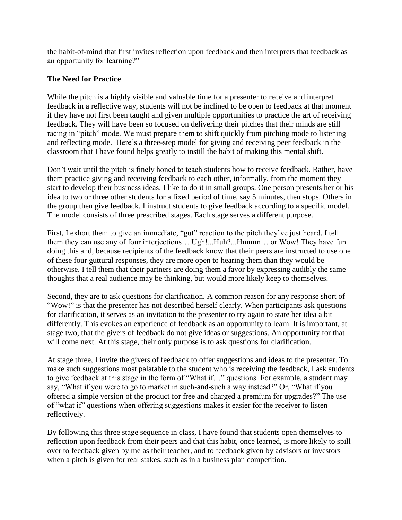the habit-of-mind that first invites reflection upon feedback and then interprets that feedback as an opportunity for learning?"

## **The Need for Practice**

While the pitch is a highly visible and valuable time for a presenter to receive and interpret feedback in a reflective way, students will not be inclined to be open to feedback at that moment if they have not first been taught and given multiple opportunities to practice the art of receiving feedback. They will have been so focused on delivering their pitches that their minds are still racing in "pitch" mode. We must prepare them to shift quickly from pitching mode to listening and reflecting mode. Here's a three-step model for giving and receiving peer feedback in the classroom that I have found helps greatly to instill the habit of making this mental shift.

Don't wait until the pitch is finely honed to teach students how to receive feedback. Rather, have them practice giving and receiving feedback to each other, informally, from the moment they start to develop their business ideas. I like to do it in small groups. One person presents her or his idea to two or three other students for a fixed period of time, say 5 minutes, then stops. Others in the group then give feedback. I instruct students to give feedback according to a specific model. The model consists of three prescribed stages. Each stage serves a different purpose.

First, I exhort them to give an immediate, "gut" reaction to the pitch they've just heard. I tell them they can use any of four interjections… Ugh!...Huh?...Hmmm… or Wow! They have fun doing this and, because recipients of the feedback know that their peers are instructed to use one of these four guttural responses, they are more open to hearing them than they would be otherwise. I tell them that their partners are doing them a favor by expressing audibly the same thoughts that a real audience may be thinking, but would more likely keep to themselves.

Second, they are to ask questions for clarification. A common reason for any response short of "Wow!" is that the presenter has not described herself clearly. When participants ask questions for clarification, it serves as an invitation to the presenter to try again to state her idea a bit differently. This evokes an experience of feedback as an opportunity to learn. It is important, at stage two, that the givers of feedback do not give ideas or suggestions. An opportunity for that will come next. At this stage, their only purpose is to ask questions for clarification.

At stage three, I invite the givers of feedback to offer suggestions and ideas to the presenter. To make such suggestions most palatable to the student who is receiving the feedback, I ask students to give feedback at this stage in the form of "What if..." questions. For example, a student may say, "What if you were to go to market in such-and-such a way instead?" Or, "What if you offered a simple version of the product for free and charged a premium for upgrades?" The use of "what if" questions when offering suggestions makes it easier for the receiver to listen reflectively.

By following this three stage sequence in class, I have found that students open themselves to reflection upon feedback from their peers and that this habit, once learned, is more likely to spill over to feedback given by me as their teacher, and to feedback given by advisors or investors when a pitch is given for real stakes, such as in a business plan competition.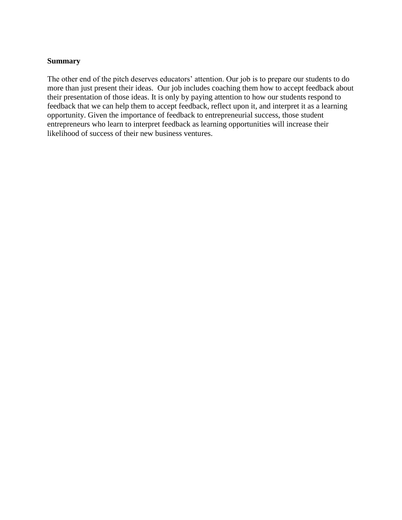#### **Summary**

The other end of the pitch deserves educators' attention. Our job is to prepare our students to do more than just present their ideas. Our job includes coaching them how to accept feedback about their presentation of those ideas. It is only by paying attention to how our students respond to feedback that we can help them to accept feedback, reflect upon it, and interpret it as a learning opportunity. Given the importance of feedback to entrepreneurial success, those student entrepreneurs who learn to interpret feedback as learning opportunities will increase their likelihood of success of their new business ventures.